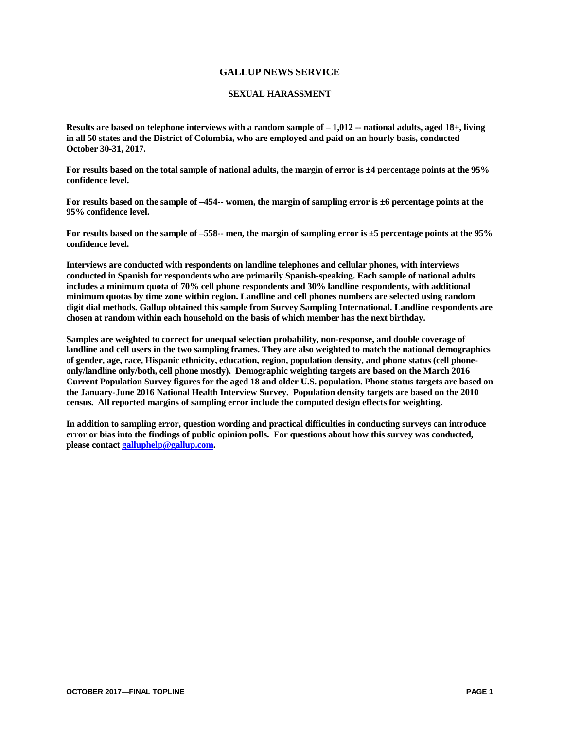## **GALLUP NEWS SERVICE**

## **SEXUAL HARASSMENT**

**Results are based on telephone interviews with a random sample of – 1,012 -- national adults, aged 18+, living in all 50 states and the District of Columbia, who are employed and paid on an hourly basis, conducted October 30-31, 2017.** 

**For results based on the total sample of national adults, the margin of error is ±4 percentage points at the 95% confidence level.**

**For results based on the sample of –454-- women, the margin of sampling error is ±6 percentage points at the 95% confidence level.**

**For results based on the sample of –558-- men, the margin of sampling error is ±5 percentage points at the 95% confidence level.**

**Interviews are conducted with respondents on landline telephones and cellular phones, with interviews conducted in Spanish for respondents who are primarily Spanish-speaking. Each sample of national adults includes a minimum quota of 70% cell phone respondents and 30% landline respondents, with additional minimum quotas by time zone within region. Landline and cell phones numbers are selected using random digit dial methods. Gallup obtained this sample from Survey Sampling International. Landline respondents are chosen at random within each household on the basis of which member has the next birthday.**

**Samples are weighted to correct for unequal selection probability, non-response, and double coverage of landline and cell users in the two sampling frames. They are also weighted to match the national demographics of gender, age, race, Hispanic ethnicity, education, region, population density, and phone status (cell phoneonly/landline only/both, cell phone mostly). Demographic weighting targets are based on the March 2016 Current Population Survey figures for the aged 18 and older U.S. population. Phone status targets are based on the January-June 2016 National Health Interview Survey. Population density targets are based on the 2010 census. All reported margins of sampling error include the computed design effects for weighting.**

**In addition to sampling error, question wording and practical difficulties in conducting surveys can introduce error or bias into the findings of public opinion polls. For questions about how this survey was conducted, please contac[t galluphelp@gallup.com.](mailto:galluphelp@gallup.com)**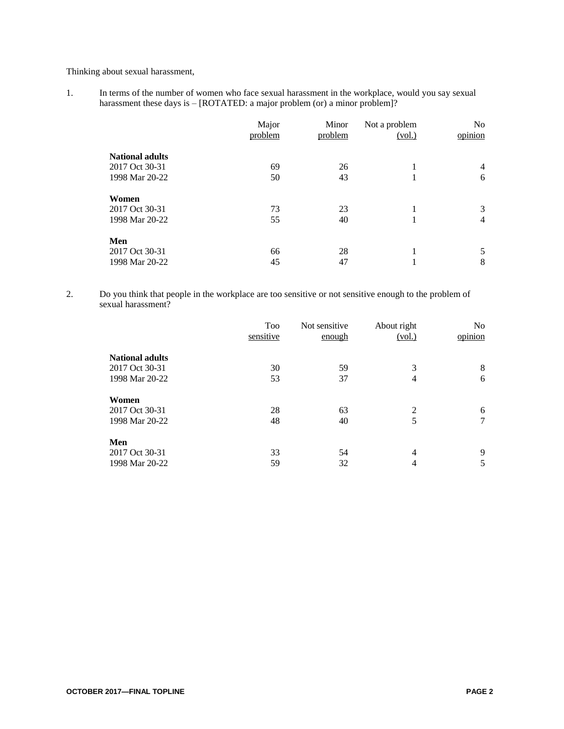Thinking about sexual harassment,

1. In terms of the number of women who face sexual harassment in the workplace, would you say sexual harassment these days is - [ROTATED: a major problem (or) a minor problem]?

|                        | Major<br>problem | Minor<br>problem | Not a problem<br>(vol.) | N <sub>0</sub><br>opinion |
|------------------------|------------------|------------------|-------------------------|---------------------------|
| <b>National adults</b> |                  |                  |                         |                           |
| 2017 Oct 30-31         | 69               | 26               |                         | 4                         |
| 1998 Mar 20-22         | 50               | 43               | 1                       | 6                         |
| Women                  |                  |                  |                         |                           |
| 2017 Oct 30-31         | 73               | 23               |                         | 3                         |
| 1998 Mar 20-22         | 55               | 40               | -1                      | $\overline{4}$            |
| Men                    |                  |                  |                         |                           |
| 2017 Oct 30-31         | 66               | 28               |                         | 5                         |
| 1998 Mar 20-22         | 45               | 47               | 1                       | 8                         |

2. Do you think that people in the workplace are too sensitive or not sensitive enough to the problem of sexual harassment?

|                        | Too<br>sensitive | Not sensitive | About right | N <sub>o</sub><br>opinion |
|------------------------|------------------|---------------|-------------|---------------------------|
|                        |                  | enough        | (vol.)      |                           |
| <b>National adults</b> |                  |               |             |                           |
| 2017 Oct 30-31         | 30               | 59            | 3           | 8                         |
| 1998 Mar 20-22         | 53               | 37            | 4           | 6                         |
| Women                  |                  |               |             |                           |
| 2017 Oct 30-31         | 28               | 63            | 2           | 6                         |
| 1998 Mar 20-22         | 48               | 40            | 5           | 7                         |
| Men                    |                  |               |             |                           |
| 2017 Oct 30-31         | 33               | 54            | 4           | 9                         |
| 1998 Mar 20-22         | 59               | 32            | 4           | 5                         |